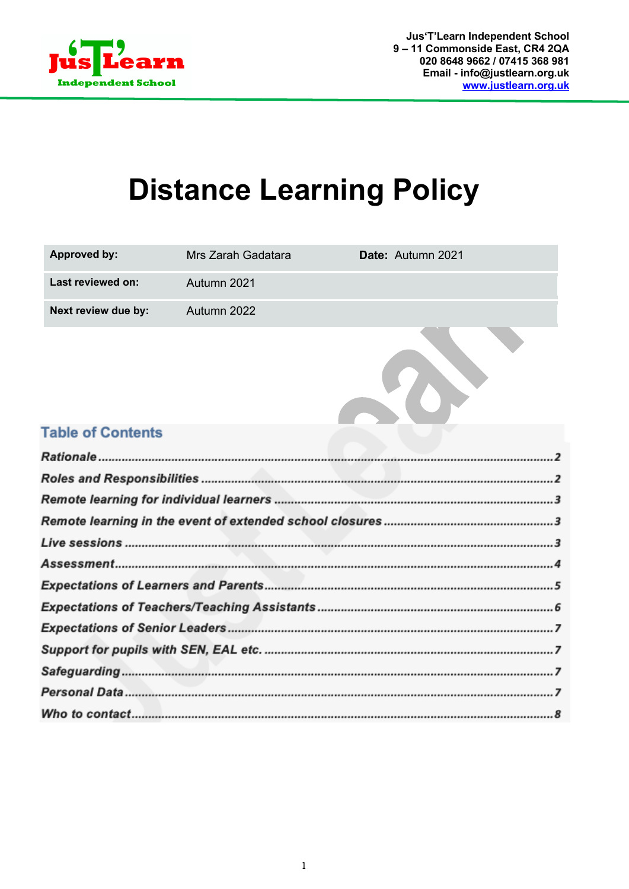

# **Distance Learning Policy**

| Approved by:             | Mrs Zarah Gadatara | Date: Autumn 2021 |
|--------------------------|--------------------|-------------------|
| Last reviewed on:        | Autumn 2021        |                   |
| Next review due by:      | Autumn 2022        |                   |
|                          |                    |                   |
| <b>Table of Contents</b> |                    |                   |
|                          |                    |                   |
|                          |                    |                   |
|                          |                    |                   |
|                          |                    |                   |
|                          |                    |                   |
|                          |                    |                   |
|                          |                    |                   |
|                          |                    |                   |
|                          |                    |                   |
|                          |                    |                   |
|                          |                    |                   |
|                          |                    |                   |
|                          |                    |                   |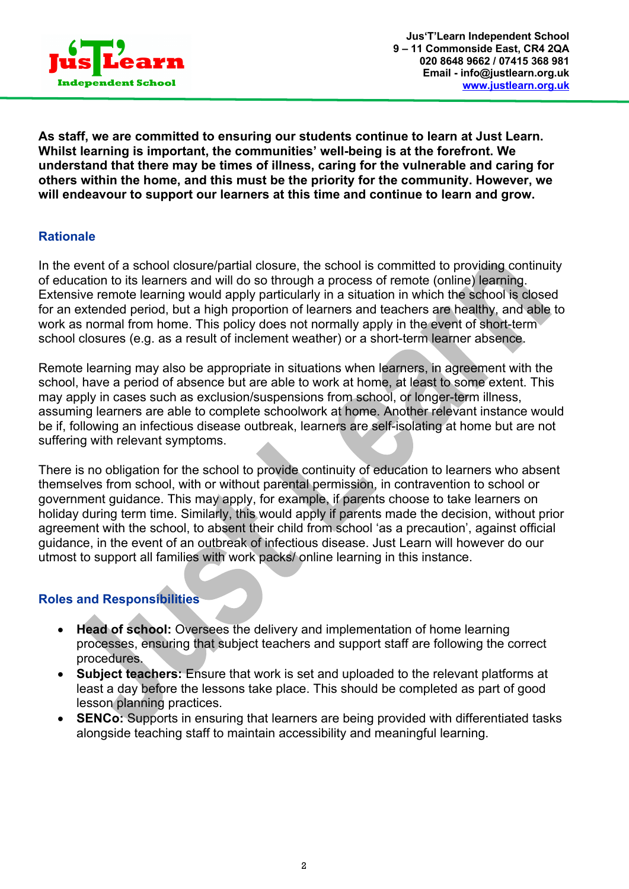

**As staff, we are committed to ensuring our students continue to learn at Just Learn. Whilst learning is important, the communities' well-being is at the forefront. We understand that there may be times of illness, caring for the vulnerable and caring for others within the home, and this must be the priority for the community. However, we will endeavour to support our learners at this time and continue to learn and grow.**

# **Rationale**

In the event of a school closure/partial closure, the school is committed to providing continuity of education to its learners and will do so through a process of remote (online) learning. Extensive remote learning would apply particularly in a situation in which the school is closed for an extended period, but a high proportion of learners and teachers are healthy, and able to work as normal from home. This policy does not normally apply in the event of short-term school closures (e.g. as a result of inclement weather) or a short-term learner absence.

Remote learning may also be appropriate in situations when learners, in agreement with the school, have a period of absence but are able to work at home, at least to some extent. This may apply in cases such as exclusion/suspensions from school, or longer-term illness, assuming learners are able to complete schoolwork at home. Another relevant instance would be if, following an infectious disease outbreak, learners are self-isolating at home but are not suffering with relevant symptoms.

There is no obligation for the school to provide continuity of education to learners who absent themselves from school, with or without parental permission, in contravention to school or government guidance. This may apply, for example, if parents choose to take learners on holiday during term time. Similarly, this would apply if parents made the decision, without prior agreement with the school, to absent their child from school 'as a precaution', against official guidance, in the event of an outbreak of infectious disease. Just Learn will however do our utmost to support all families with work packs/ online learning in this instance.

## **Roles and Responsibilities**

- **Head of school:** Oversees the delivery and implementation of home learning processes, ensuring that subject teachers and support staff are following the correct procedures.
- **Subject teachers:** Ensure that work is set and uploaded to the relevant platforms at least a day before the lessons take place. This should be completed as part of good lesson planning practices.
- **SENCo:** Supports in ensuring that learners are being provided with differentiated tasks alongside teaching staff to maintain accessibility and meaningful learning.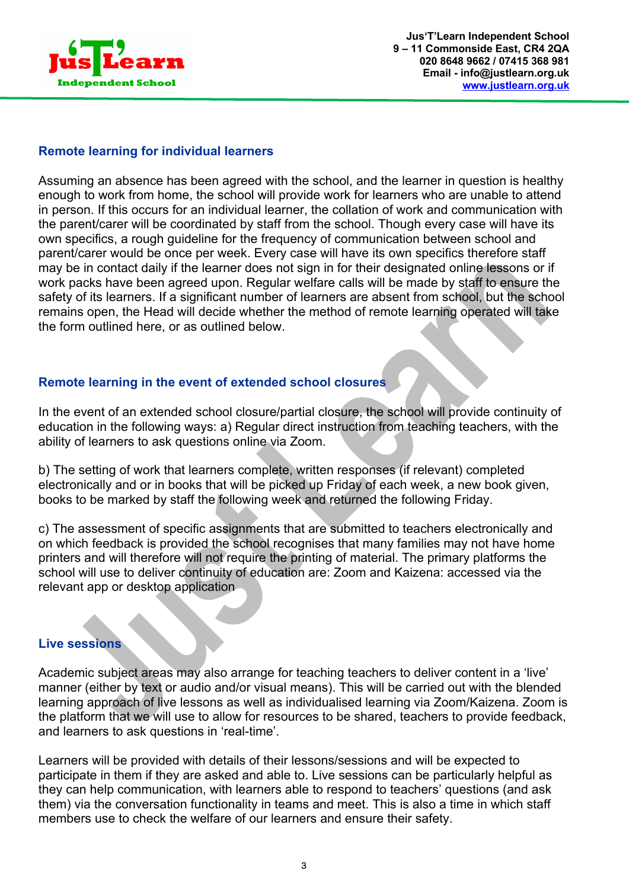

# **Remote learning for individual learners**

Assuming an absence has been agreed with the school, and the learner in question is healthy enough to work from home, the school will provide work for learners who are unable to attend in person. If this occurs for an individual learner, the collation of work and communication with the parent/carer will be coordinated by staff from the school. Though every case will have its own specifics, a rough guideline for the frequency of communication between school and parent/carer would be once per week. Every case will have its own specifics therefore staff may be in contact daily if the learner does not sign in for their designated online lessons or if work packs have been agreed upon. Regular welfare calls will be made by staff to ensure the safety of its learners. If a significant number of learners are absent from school, but the school remains open, the Head will decide whether the method of remote learning operated will take the form outlined here, or as outlined below.

# **Remote learning in the event of extended school closures**

In the event of an extended school closure/partial closure, the school will provide continuity of education in the following ways: a) Regular direct instruction from teaching teachers, with the ability of learners to ask questions online via Zoom.

b) The setting of work that learners complete, written responses (if relevant) completed electronically and or in books that will be picked up Friday of each week, a new book given, books to be marked by staff the following week and returned the following Friday.

c) The assessment of specific assignments that are submitted to teachers electronically and on which feedback is provided the school recognises that many families may not have home printers and will therefore will not require the printing of material. The primary platforms the school will use to deliver continuity of education are: Zoom and Kaizena: accessed via the relevant app or desktop application

#### **Live sessions**

Academic subject areas may also arrange for teaching teachers to deliver content in a 'live' manner (either by text or audio and/or visual means). This will be carried out with the blended learning approach of live lessons as well as individualised learning via Zoom/Kaizena. Zoom is the platform that we will use to allow for resources to be shared, teachers to provide feedback, and learners to ask questions in 'real-time'.

Learners will be provided with details of their lessons/sessions and will be expected to participate in them if they are asked and able to. Live sessions can be particularly helpful as they can help communication, with learners able to respond to teachers' questions (and ask them) via the conversation functionality in teams and meet. This is also a time in which staff members use to check the welfare of our learners and ensure their safety.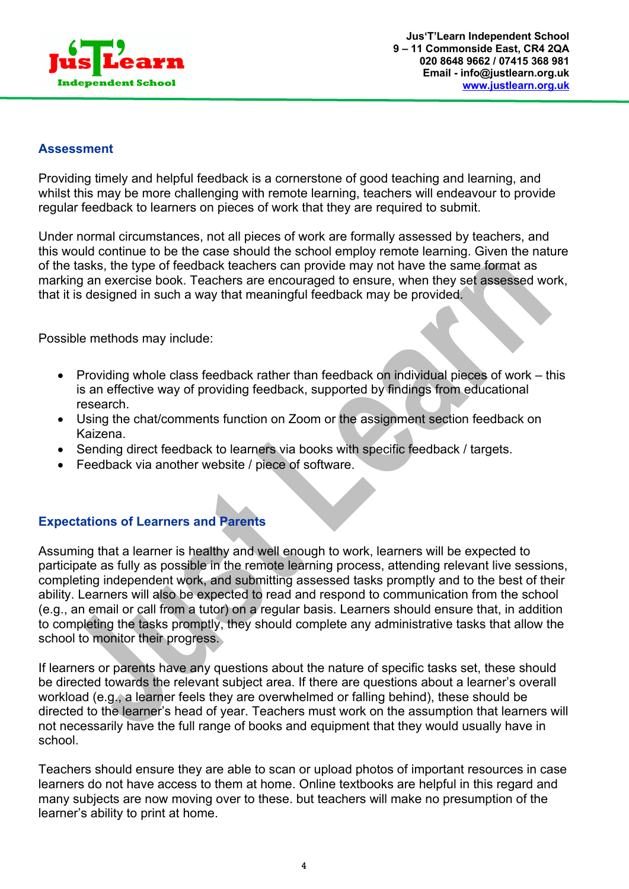

#### **Assessment**

Providing timely and helpful feedback is a cornerstone of good teaching and learning, and whilst this may be more challenging with remote learning, teachers will endeavour to provide regular feedback to learners on pieces of work that they are required to submit.

Under normal circumstances, not all pieces of work are formally assessed by teachers, and this would continue to be the case should the school employ remote learning. Given the nature of the tasks, the type of feedback teachers can provide may not have the same format as marking an exercise book. Teachers are encouraged to ensure, when they set assessed work, that it is designed in such a way that meaningful feedback may be provided.

Possible methods may include:

- Providing whole class feedback rather than feedback on individual pieces of work this is an effective way of providing feedback, supported by findings from educational research.
- Using the chat/comments function on Zoom or the assignment section feedback on Kaizena.
- Sending direct feedback to learners via books with specific feedback / targets.
- Feedback via another website / piece of software.

# **Expectations of Learners and Parents**

Assuming that a learner is healthy and well enough to work, learners will be expected to participate as fully as possible in the remote learning process, attending relevant live sessions, completing independent work, and submitting assessed tasks promptly and to the best of their ability. Learners will also be expected to read and respond to communication from the school (e.g., an email or call from a tutor) on a regular basis. Learners should ensure that, in addition to completing the tasks promptly, they should complete any administrative tasks that allow the school to monitor their progress.

If learners or parents have any questions about the nature of specific tasks set, these should be directed towards the relevant subject area. If there are questions about a learner's overall workload (e.g., a learner feels they are overwhelmed or falling behind), these should be directed to the learner's head of year. Teachers must work on the assumption that learners will not necessarily have the full range of books and equipment that they would usually have in school.

Teachers should ensure they are able to scan or upload photos of important resources in case learners do not have access to them at home. Online textbooks are helpful in this regard and many subjects are now moving over to these. but teachers will make no presumption of the learner's ability to print at home.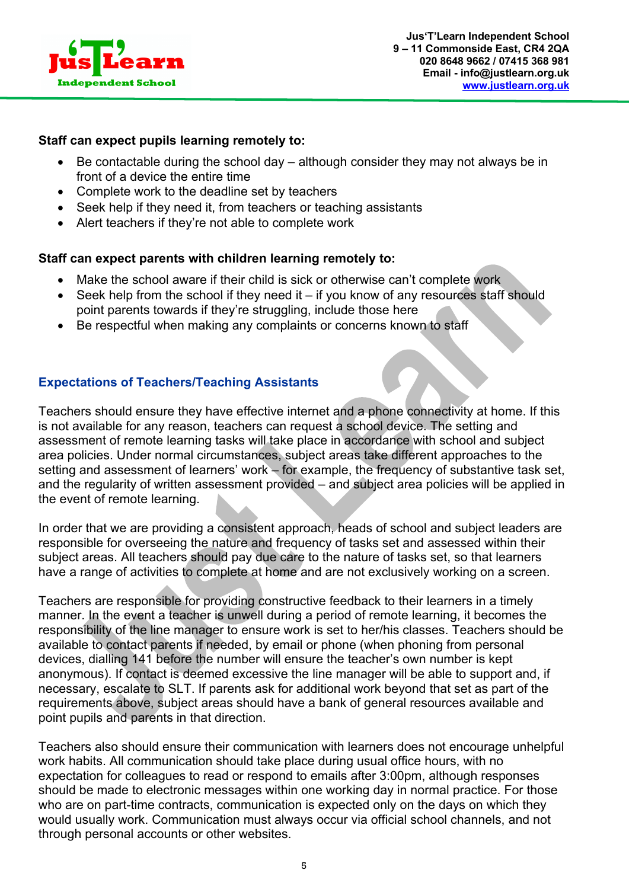

#### **Staff can expect pupils learning remotely to:**

- Be contactable during the school day although consider they may not always be in front of a device the entire time
- Complete work to the deadline set by teachers
- Seek help if they need it, from teachers or teaching assistants
- Alert teachers if they're not able to complete work

#### **Staff can expect parents with children learning remotely to:**

- Make the school aware if their child is sick or otherwise can't complete work
- Seek help from the school if they need it if you know of any resources staff should point parents towards if they're struggling, include those here
- Be respectful when making any complaints or concerns known to staff

# **Expectations of Teachers/Teaching Assistants**

Teachers should ensure they have effective internet and a phone connectivity at home. If this is not available for any reason, teachers can request a school device. The setting and assessment of remote learning tasks will take place in accordance with school and subject area policies. Under normal circumstances, subject areas take different approaches to the setting and assessment of learners' work – for example, the frequency of substantive task set, and the regularity of written assessment provided – and subject area policies will be applied in the event of remote learning.

In order that we are providing a consistent approach, heads of school and subject leaders are responsible for overseeing the nature and frequency of tasks set and assessed within their subject areas. All teachers should pay due care to the nature of tasks set, so that learners have a range of activities to complete at home and are not exclusively working on a screen.

Teachers are responsible for providing constructive feedback to their learners in a timely manner. In the event a teacher is unwell during a period of remote learning, it becomes the responsibility of the line manager to ensure work is set to her/his classes. Teachers should be available to contact parents if needed, by email or phone (when phoning from personal devices, dialling 141 before the number will ensure the teacher's own number is kept anonymous). If contact is deemed excessive the line manager will be able to support and, if necessary, escalate to SLT. If parents ask for additional work beyond that set as part of the requirements above, subject areas should have a bank of general resources available and point pupils and parents in that direction.

Teachers also should ensure their communication with learners does not encourage unhelpful work habits. All communication should take place during usual office hours, with no expectation for colleagues to read or respond to emails after 3:00pm, although responses should be made to electronic messages within one working day in normal practice. For those who are on part-time contracts, communication is expected only on the days on which they would usually work. Communication must always occur via official school channels, and not through personal accounts or other websites.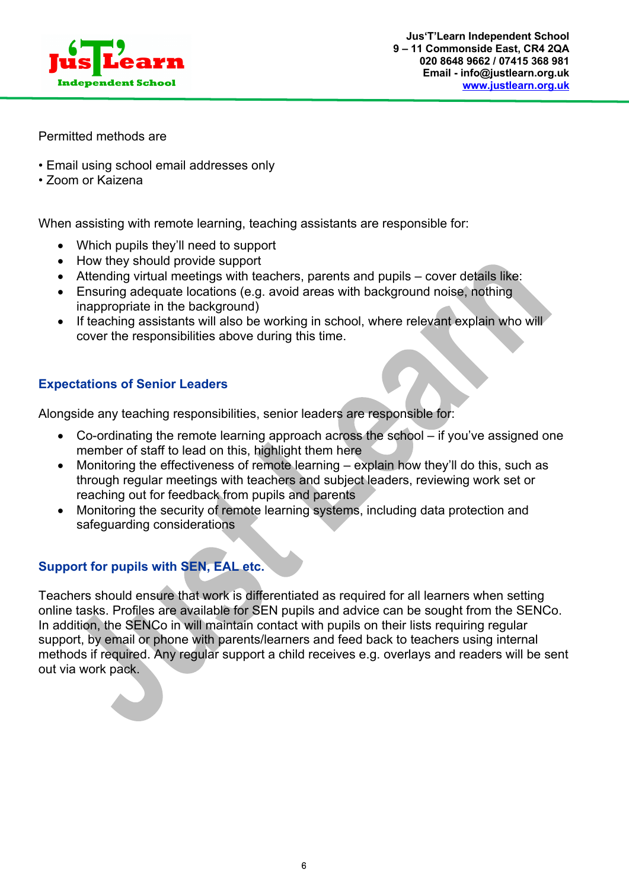

Permitted methods are

- Email using school email addresses only
- Zoom or Kaizena

When assisting with remote learning, teaching assistants are responsible for:

- Which pupils they'll need to support
- How they should provide support
- Attending virtual meetings with teachers, parents and pupils cover details like:
- Ensuring adequate locations (e.g. avoid areas with background noise, nothing inappropriate in the background)
- If teaching assistants will also be working in school, where relevant explain who will cover the responsibilities above during this time.

# **Expectations of Senior Leaders**

Alongside any teaching responsibilities, senior leaders are responsible for:

- Co-ordinating the remote learning approach across the school if you've assigned one member of staff to lead on this, highlight them here
- Monitoring the effectiveness of remote learning explain how they'll do this, such as through regular meetings with teachers and subject leaders, reviewing work set or reaching out for feedback from pupils and parents
- Monitoring the security of remote learning systems, including data protection and safeguarding considerations

# **Support for pupils with SEN, EAL etc.**

Teachers should ensure that work is differentiated as required for all learners when setting online tasks. Profiles are available for SEN pupils and advice can be sought from the SENCo. In addition, the SENCo in will maintain contact with pupils on their lists requiring regular support, by email or phone with parents/learners and feed back to teachers using internal methods if required. Any regular support a child receives e.g. overlays and readers will be sent out via work pack.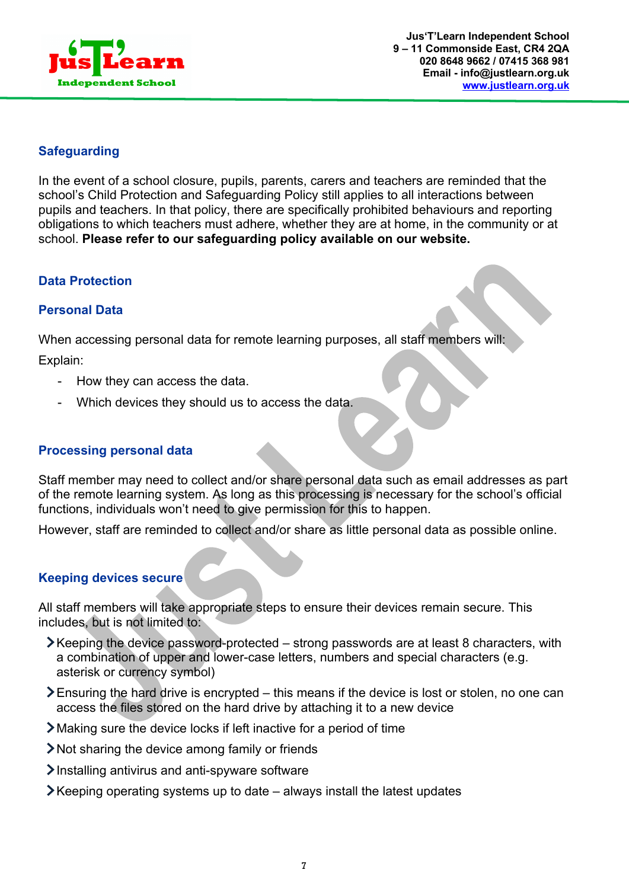

# **Safeguarding**

In the event of a school closure, pupils, parents, carers and teachers are reminded that the school's Child Protection and Safeguarding Policy still applies to all interactions between pupils and teachers. In that policy, there are specifically prohibited behaviours and reporting obligations to which teachers must adhere, whether they are at home, in the community or at school. **Please refer to our safeguarding policy available on our website.**

# **Data Protection**

## **Personal Data**

When accessing personal data for remote learning purposes, all staff members will:

Explain:

- How they can access the data.
- Which devices they should us to access the data.

## **Processing personal data**

Staff member may need to collect and/or share personal data such as email addresses as part of the remote learning system. As long as this processing is necessary for the school's official functions, individuals won't need to give permission for this to happen.

However, staff are reminded to collect and/or share as little personal data as possible online.

## **Keeping devices secure**

All staff members will take appropriate steps to ensure their devices remain secure. This includes, but is not limited to:

- Keeping the device password-protected strong passwords are at least 8 characters, with a combination of upper and lower-case letters, numbers and special characters (e.g. asterisk or currency symbol)
- $\geq$  Ensuring the hard drive is encrypted this means if the device is lost or stolen, no one can access the files stored on the hard drive by attaching it to a new device
- Making sure the device locks if left inactive for a period of time
- Not sharing the device among family or friends
- $\sum$  Installing antivirus and anti-spyware software
- $\blacktriangleright$  Keeping operating systems up to date always install the latest updates